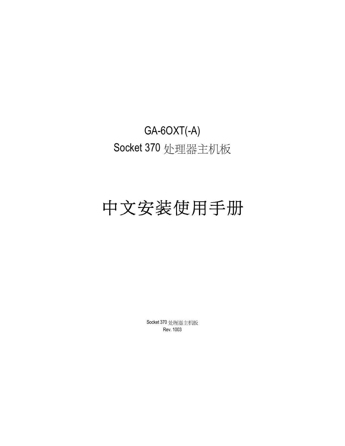## GA-6OXT(-A) Socket 370 处理器主机板

# 中文安装使用手册

Socket 370 处理器主机板 Rev. 1003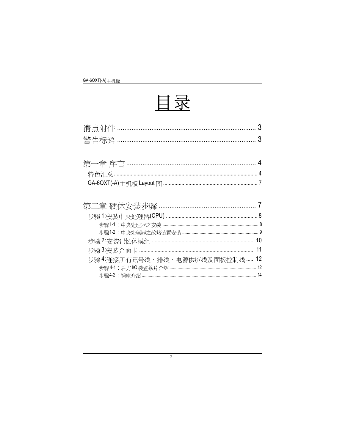

| 步骤4: 连接所有讯号线、排线、电源供应线及面板控制线  12 |  |
|---------------------------------|--|
|                                 |  |
|                                 |  |

 $\overline{2}$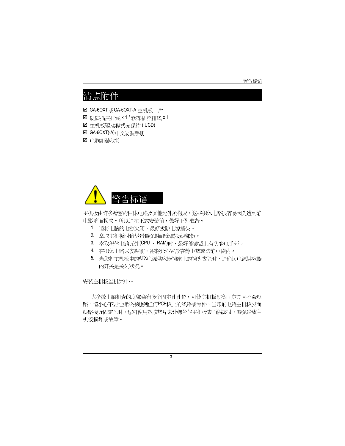#### 警告标语

## 清点附件

☑ GA-6OXT或GA-6OXT-A 主机板一片

- $□$  硬碟插座排线  $x$  1 / 软碟插座排线  $x$  1
- ☑ 主机板驱动程式光碟片 (IUCD)
- **☑ GA-6OXT(-A)**中文安装手册
- ☑ 电脑组装秘笈



主机板由许多精密的积体电路及其他元件所构成,这些积体电路很容易因为遭到静 电影响而损失。所以请在正式安装前,做好下列准备。

- 1. 请将电脑的电源关闭,最好拔除电源插头。
- 2. 拿取主机板时请尽量避免触碰金属接线部份。
- 3. 拿取积体电路元件(CPU、RAM)时,最好能够戴上有防静电手环。
- 4. 在积体电路未安装前,需将元件置放在静电垫或防静电袋内。
- 5. 当您将主机板中的ATX电源供应器插座上的插头拔除时,请确认电源供应器 的开关是关闭状况。

#### 安装主机板至机壳中…

大多数电脑机壳的底部会有多个固定孔孔位,可使主机板确实固定并且不会短 路。请小心不要让螺丝接触到任何PCB板上的线路或零件,当印刷电路主机板表面 线路接近固定孔时,您可使用塑胶垫片来让螺丝与主机板表面隔离过,避免造成主 机板损坏或故障。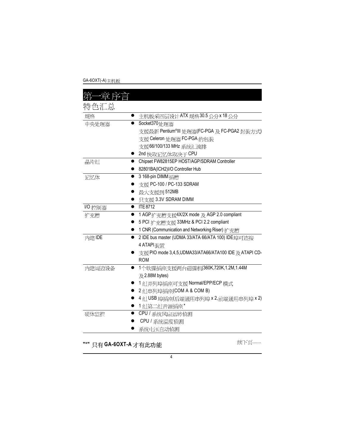GA-6OXT(-A) 主机板

| 特色汇总    |                                                          |
|---------|----------------------------------------------------------|
| 规格      | 主机板采四层设计ATX规格30.5公分x18公分                                 |
| 中央处理器   | Socket370 处理器                                            |
|         | 支援最新 Pentium <sup>®</sup> III 处理器(FC-PGA 及 FC-PGA2 封装方式) |
|         | 支援 Celeron 处理器 FC-PGA 的包装                                |
|         | 支援66/100/133 MHz 系统汇流排                                   |
|         | 2nd 快取记忆体取决于 CPU                                         |
| 晶片组     | Chipset FW82815EP HOST/AGP/SDRAM Controller              |
|         | 82801BA(ICH2)I/O Controller Hub                          |
| 记忆体     | 3 168-pin DIMM 插槽                                        |
|         | 支援 PC-100 / PC-133 SDRAM                                 |
|         | 最大支援到 512MB                                              |
|         | 只支援 3.3V SDRAM DIMM                                      |
| I/O 控制器 | <b>ITE 8712</b>                                          |
| 扩充槽     | 1 AGP扩充槽支援4X/2X mode 及 AGP 2.0 compliant                 |
|         | 5 PCI 扩充槽支援 33MHz & PCI 2.2 compliant                    |
|         | 1 CNR (Communication and Networking Riser) 扩充槽           |
| 内建IDE   | 2 IDE bus master (UDMA 33/ATA 66/ATA 100) IDE 埠可连接       |
|         | 4 ATAPI 装置                                               |
|         | 支援PIO mode 3,4,5,UDMA33/ATA66/ATA100 IDE 及 ATAPI CD-     |
|         | <b>ROM</b>                                               |
| 内建周边设备  | 1个软碟插座支援两台磁碟机(360K,720K,1.2M,1.44M                       |
|         | $R$ 2.88M bytes)                                         |
|         | 1 组并列埠插座可支援 Normal/EPP/ECP 模式                            |
|         | 2 组串列埠插座(COM A & COM B)                                  |
|         | 4 组 USB 埠插座(后端通用串列埠 x 2,前端通用串列埠 x 2)                     |
|         | ▶ 1组第二组音源插座*                                             |
| 硬体监控    | CPU / 系统风扇运转侦测                                           |
|         | CPU / 系统温度侦测                                             |
|         | 系统电压自动侦测                                                 |
|         |                                                          |

**"\*"** 只有GA-6OXT-A 才有此功能

续下页……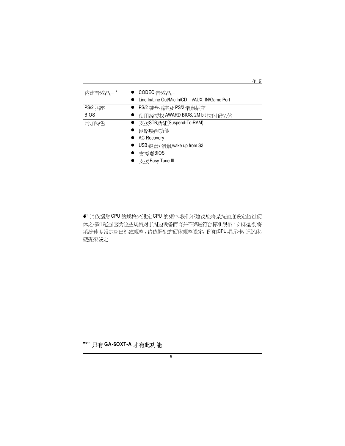| 内建音效晶片*        | ● CODEC 音效晶片                                   |
|----------------|------------------------------------------------|
|                | Line In/Line Out/Mic In/CD_In/AUX_IN/Game Port |
| <b>PS/2</b> 桶座 | PS/2 键盘插座及 PS/2 滑鼠插座                           |
| <b>BIOS</b>    | 使用经授权 AWARD BIOS, 2M bit 快闪记忆体                 |
| 附加特色           | 支援STR功能(Suspend-To-RAM)                        |
|                | 网路唤醒功能                                         |
|                | <b>AC Recovery</b>                             |
|                | USB 键盘/滑鼠 wake up from S3                      |
|                | 支援 @BIOS                                       |
|                | ● 支援 Easy Tune III                             |

序言

● 请依据您 CPU 的规格来设定 CPU 的频率,我们不建议您将系统速度设定超过硬 体之标准范围,因为这些规格对于周边设备而言并不算是符合标准规格。如果您要将 系统速度设定超出标准规格, 请依据您的硬体规格设定, 例如;CPU,显示卡, 记忆体, 硬碟来设定.

**"\*"** 只有GA-6OXT-A 才有此功能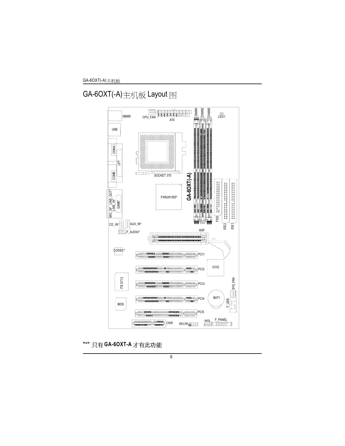GA-6OXT(-A)主机板 Layout 图



"\*" 只有 GA-6OXT-A 才有此功能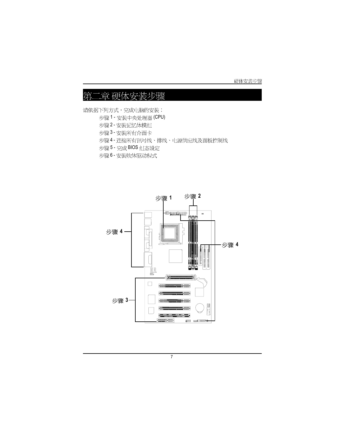硬体安装步骤

#### 二章 硬体安装步骤 第

请依据下列方式,完成电脑的安装:

- 步骤1-安装中央处理器 (CPU)
- 步骤2-安装记忆体模组
- 步骤3-安装所有介面卡
- 步骤4-连接所有讯号线、排线、电源供应线及面板控制线
- 步骤 5 完成 BIOS 组态设定
- 步骤6-安装软体驱动程式

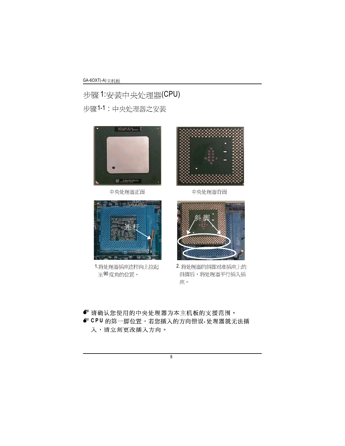步骤1:安装中央处理器(CPU) 步骤1-1:中央处理器之安装



中央处理器正面



中央处理器背面



1.将处理器插座连杆向上拉起 至90度角的位置。



2. 将处理器的斜脚对准插座上的 斜脚后,将处理器平行插入插 座。

• 请确认您使用的中央处理器为本主机板的支援范围。 <sup>■</sup> CPU 的第一脚位置,若您插入的方向错误,处理器就无法插 入,请立刻更改插入方向。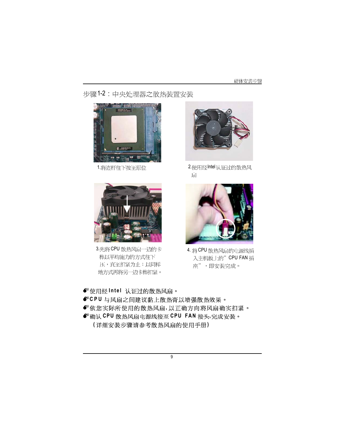#### 硬体安装步骤

步骤1-2:中央处理器之散热装置安装





3. 先将 CPU 散热风扇一边的卡 榫以平均施力的方式往下 压,直至扣紧为止;以同样 地方式再将另一边卡榫扣紧。



1.将连杆往下按至原位 2.使用经Intel认证过的散热风 扇



4. 将CPU 散热风扇的电源线插 入主机板上的"CPU FAN 插 座",即安装完成。

<sup>■</sup>使用经Intel 认证过的散热风扇。 ● CPU 与风扇之间建议黏上散热膏以增强散热效果。 ● 依您实际所使用的散热风扇, 以正确方向将风扇确实扣紧。 ● 确认 CPU 散热风扇电源线接至 CPU FAN 接头,完成安装。  **( )**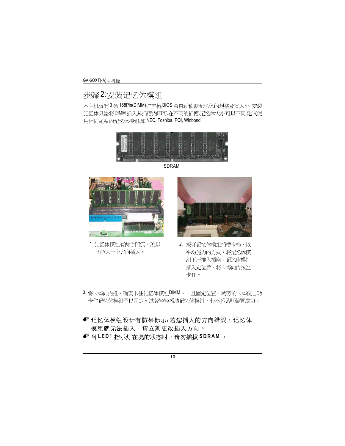GA-6OXT(-A) 主机板

## 步骤2:安装记忆体模组

本主机板有3条168Pin(DIMM)扩充槽,BIOS 会自动侦测记忆体的规格及其大小. 安装 记忆体只需将DIMM 插入其插槽内即可,在不同的插槽,记忆体大小可以不同,建议使 用相同颗粒的记忆体模组,如:NEC, Toshiba, PQI, Winbond.



SDRAM



1. 记忆体模组有两个凹痕,所以 只能以一个方向插入。



- 2. 扳开记忆体模组插槽卡榫,以 平均施力的方式,将记忆体模 组下压推入插座。记忆体模组 插入定位后,将卡榫向内按至 卡住。
- 3. 将卡榫向内推,确实卡住记忆体模组DIMM。一旦固定位置,两旁的卡榫便自动 卡住记忆体模组予以固定。试著轻轻摇动记忆体模组,若不摇晃则装置成功。

• 记忆体模组设计有防呆标示,若您插入的方向错误,记忆体 模组就无法插入,请立刻更改插入方向。 ● 当 LED1 指示灯在亮的状态时,请勿插拔 SDRAM。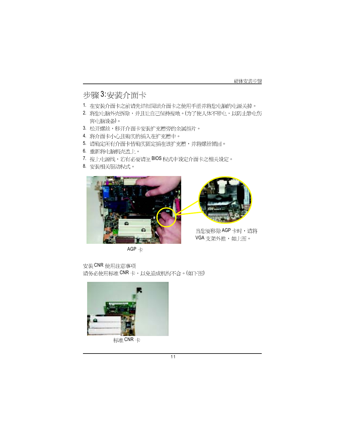### 步骤3:安装介面卡

- 1. 在安装介面卡之前请先详细阅读介面卡之使用手册并将您山脑的山源关掉。
- 2. 将您电脑外壳拆除,并且让自己保持接地。(为了使人体不带电,以防止静电伤 害山脑设备)。
- 
- 3. 松开螺丝,移开介面卡安装扩充槽旁的金属挡片。
- 4. 将介面卡小心且确实的插入在扩充槽中。
- 5. 请确定所有介面卡皆确实固定插在该扩充槽,并将螺丝锁回。
- 6. 重新将电脑机壳盖上。
- 7. 接上山源线, 若有必要请至 BIOS 程式中设定介面卡之相关设定。
- 8. 安装相关驱动程式。



当您要移除AGP卡时,请将

 $AGP +$ 

VGA支架外推,如上图。

安装CNR 使用注意事项 请务必使用标准 CNR 卡, 以免造成机构不合。(如下图)



标准CNR卡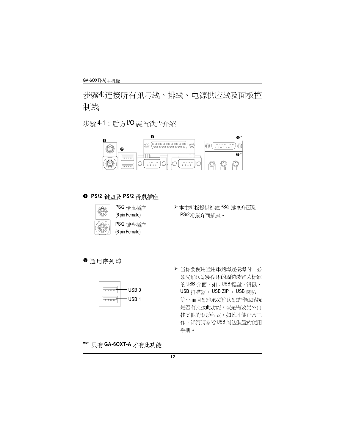步骤4:连接所有讯号线、排线、电源供应线及面板控 制线

步骤4-1:后方I/O装置铁片介绍



#### **● PS/2 键盘及 PS/2 滑鼠插座**



PS/2 滑鼠插座 (6 pin Female)

PS/2 键盘插座 (6 pin Female)

> 本主机板提供标准 PS/2 键盘介面及 PS/2滑鼠介面插座。

<sup>2</sup>通用序列埠



▶ 当你要使用通用串列埠连接埠时,必 须先确认您要使用的周边装置为标准 的USB介面,如:USB键盘,滑鼠, USB 扫瞄器, USB ZIP, USB 喇叭 等…而且您也必须确认您的作业系统 是否有支援此功能,或是需要另外再 挂其他的驱动程式,如此才能正常工 作,详情请参考USB 周边装置的使用 手册。

#### "\*" 只有 GA-6OXT-A 才有此功能

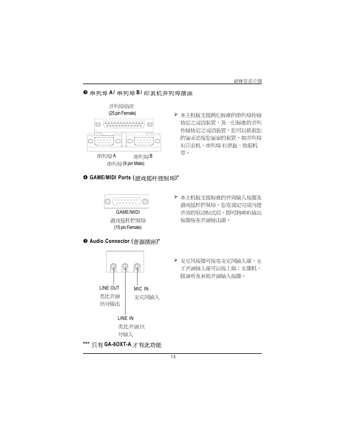#### 8 串列埠 A/ 串列埠 B/ 印表机并列埠插座



#### **<sup>○</sup> GAME/MIDI Ports (遊戏摇杆控制埠)\***



遊戏摇杆控制埠 (15 pin Female)

#### \ **Audio Connector ( )\***



> 本主机板支援标准的音效输入接脚及 遊戏摇杆控制埠,您在设定完成内建 音效的驱动程式后,即可将喇叭输出 接脚接在音源输出端。

▶ 本主机板支援两组标准的串列埠传输

协定之周边装置,及一组标准的并列

传输协定之周边装置,您可以依据您

的需求连接您需要的装置,如并列埠

有印表机,串列埠有滑鼠、数据机

等。

> 麦克风接脚可接在麦克风输入端, 至 于音源输入端可以接上如:光碟机, 随身听及其他音源输入接脚。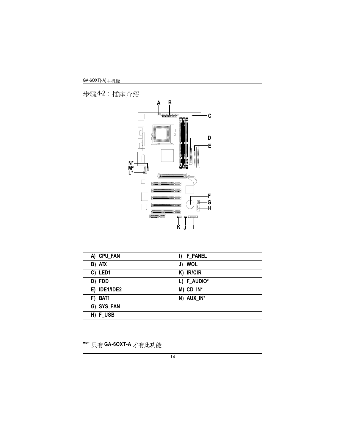GA-6OXT(-A)

步骤4-2: 插座介绍



| A) CPU_FAN   | <b>F_PANEL</b><br>I) |
|--------------|----------------------|
| B) ATX       | J) WOL               |
| C) LED1      | K) IR/CIR            |
| D) FDD       | L) F_AUDIO*          |
| E) IDE1/IDE2 | $M)$ CD_IN*          |
| F) BAT1      | N) AUX IN*           |
| G) SYS_FAN   |                      |
| H) F USB     |                      |

**"\*"** 只有 GA-6OXT-A 才有此功能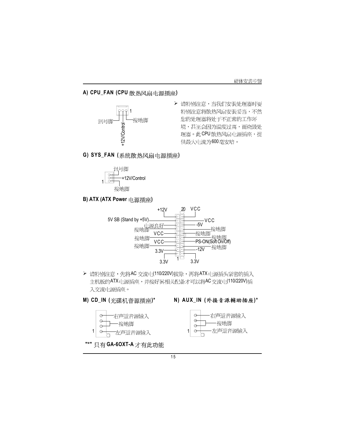#### A) CPU\_FAN (CPU 散热风扇电源插座)



- ▶ 请特别注意,当我们安装处理器时要 特别注意将散热风扇安装妥当,不然 您的处理器将处于不正常的工作环 理器。此CPU散热风扇电源插座,提 供最大电流为600毫安培。
- **G) SYS\_FAN ( )**



**B) ATX (ATX Power** 电源插座)



▶ 请特别注意,先将AC 交流电(110/220V)拔除,再将ATX电源插头紧密的插入 入交流电源插座。





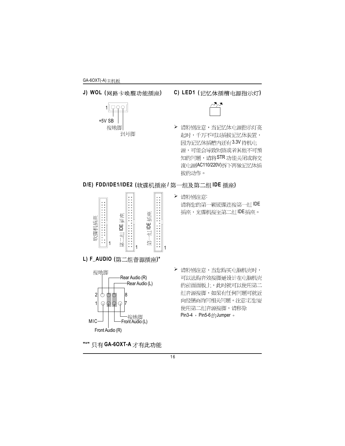**J) WOL ( )**



**C) LED1 ( )**



▶ 请特别注意,当记忆体电源指示灯亮 起时,千万不可以插拔记忆体装置, 因为记忆体插槽内还有3.3V 待机电 源,可能会导致短路或者其他不可预 知的问题,请将STR 功能关闭或将交 流电源(AC110/220V)拆下再做记忆体插 拔的动作。

#### $D/E$ ) FDD/IDE1/IDE2 (软碟机插座 / 第一组及第二组 IDE 插座)



- > 请特别注意: 请将您的第一颗硬碟连接第一组IDE 插座,光碟机接至第二组IDE插座。
- **L) F\_AUDIO ( )\***



- "\*" 只有 GA-6OXT-A 才有此功能
- > 请特别注意,当您购买电脑机壳时, 可以选购音效接脚是设计在电脑机壳 的前面面板上, 此时就可以使用第二 组音源接脚,如果有任何问题可就近 向经销商询问相关问题。注意:若您要 使用第二组音源接脚,请移除 Pin3-4  $\rightarrow$  Pin5-6  $\text{A}$  Jumper  $\circ$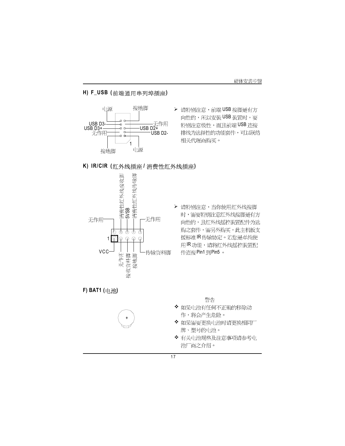#### **H) F\_USB ( )**



▶ 请特别注意, 前端 USB 接脚是有方 向性的,所以安装USB 装置时,要 特别注意极性,而且前端USB连接 排线为选择性的功能套件,可以联络 相关代理商购买。





▶ 请特别注意,当你使用红外线接脚 时,需要特别注意红外线接脚是有方 向性的,且红外线摇控装置配件为选 购之套件, 需另外购买, 此主机板支 援标准IR传输协定。若您是单纯使 用IR功能,请将红外线摇控装置配 件连接 Pin1 到 Pin5。